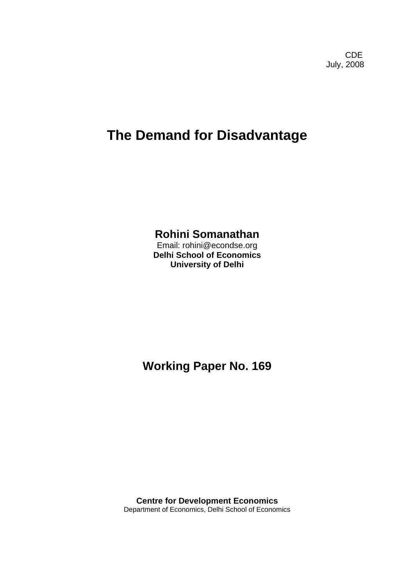**CDE COLLECTION** July, 2008

# **The Demand for Disadvantage**

### **Rohini Somanathan**

Email: rohini@econdse.org **Delhi School of Economics University of Delhi** 

**Working Paper No. 169** 

**Centre for Development Economics**  Department of Economics, Delhi School of Economics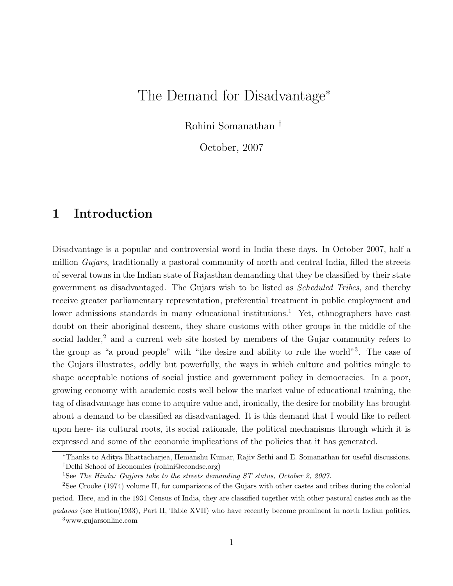# The Demand for Disadvantage<sup>∗</sup>

Rohini Somanathan †

October, 2007

# 1 Introduction

Disadvantage is a popular and controversial word in India these days. In October 2007, half a million Gujars, traditionally a pastoral community of north and central India, filled the streets of several towns in the Indian state of Rajasthan demanding that they be classified by their state government as disadvantaged. The Gujars wish to be listed as Scheduled Tribes, and thereby receive greater parliamentary representation, preferential treatment in public employment and lower admissions standards in many educational institutions.<sup>1</sup> Yet, ethnographers have cast doubt on their aboriginal descent, they share customs with other groups in the middle of the social ladder,<sup>2</sup> and a current web site hosted by members of the Gujar community refers to the group as "a proud people" with "the desire and ability to rule the world"<sup>3</sup> . The case of the Gujars illustrates, oddly but powerfully, the ways in which culture and politics mingle to shape acceptable notions of social justice and government policy in democracies. In a poor, growing economy with academic costs well below the market value of educational training, the tag of disadvantage has come to acquire value and, ironically, the desire for mobility has brought about a demand to be classified as disadvantaged. It is this demand that I would like to reflect upon here- its cultural roots, its social rationale, the political mechanisms through which it is expressed and some of the economic implications of the policies that it has generated.

<sup>∗</sup>Thanks to Aditya Bhattacharjea, Hemanshu Kumar, Rajiv Sethi and E. Somanathan for useful discussions. †Delhi School of Economics (rohini@econdse.org)

<sup>&</sup>lt;sup>1</sup>See The Hindu: Gujjars take to the streets demanding ST status, October 2, 2007.

<sup>2</sup>See Crooke (1974) volume II, for comparisons of the Gujars with other castes and tribes during the colonial period. Here, and in the 1931 Census of India, they are classified together with other pastoral castes such as the

yadavas (see Hutton(1933), Part II, Table XVII) who have recently become prominent in north Indian politics. <sup>3</sup>www.gujarsonline.com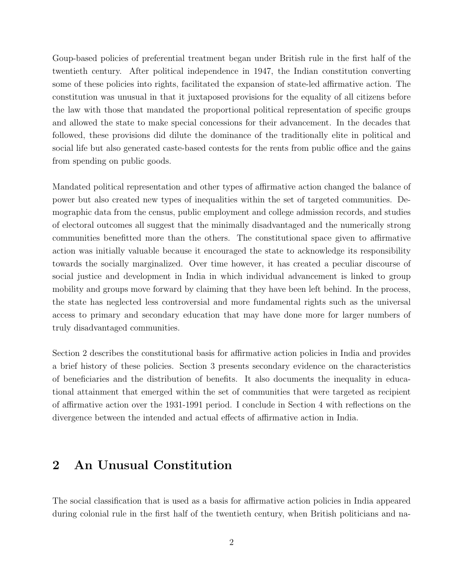Goup-based policies of preferential treatment began under British rule in the first half of the twentieth century. After political independence in 1947, the Indian constitution converting some of these policies into rights, facilitated the expansion of state-led affirmative action. The constitution was unusual in that it juxtaposed provisions for the equality of all citizens before the law with those that mandated the proportional political representation of specific groups and allowed the state to make special concessions for their advancement. In the decades that followed, these provisions did dilute the dominance of the traditionally elite in political and social life but also generated caste-based contests for the rents from public office and the gains from spending on public goods.

Mandated political representation and other types of affirmative action changed the balance of power but also created new types of inequalities within the set of targeted communities. Demographic data from the census, public employment and college admission records, and studies of electoral outcomes all suggest that the minimally disadvantaged and the numerically strong communities benefitted more than the others. The constitutional space given to affirmative action was initially valuable because it encouraged the state to acknowledge its responsibility towards the socially marginalized. Over time however, it has created a peculiar discourse of social justice and development in India in which individual advancement is linked to group mobility and groups move forward by claiming that they have been left behind. In the process, the state has neglected less controversial and more fundamental rights such as the universal access to primary and secondary education that may have done more for larger numbers of truly disadvantaged communities.

Section 2 describes the constitutional basis for affirmative action policies in India and provides a brief history of these policies. Section 3 presents secondary evidence on the characteristics of beneficiaries and the distribution of benefits. It also documents the inequality in educational attainment that emerged within the set of communities that were targeted as recipient of affirmative action over the 1931-1991 period. I conclude in Section 4 with reflections on the divergence between the intended and actual effects of affirmative action in India.

#### 2 An Unusual Constitution

The social classification that is used as a basis for affirmative action policies in India appeared during colonial rule in the first half of the twentieth century, when British politicians and na-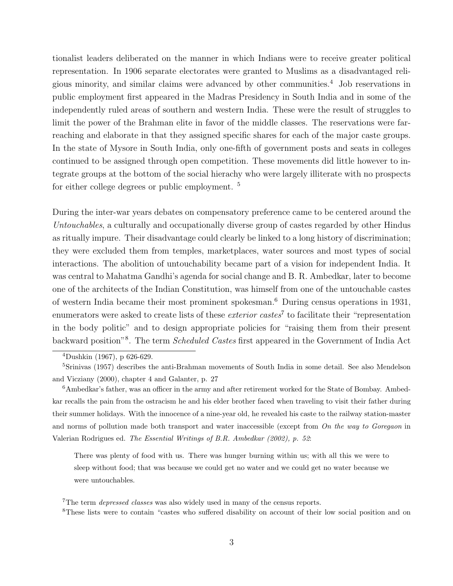tionalist leaders deliberated on the manner in which Indians were to receive greater political representation. In 1906 separate electorates were granted to Muslims as a disadvantaged religious minority, and similar claims were advanced by other communities.<sup>4</sup> Job reservations in public employment first appeared in the Madras Presidency in South India and in some of the independently ruled areas of southern and western India. These were the result of struggles to limit the power of the Brahman elite in favor of the middle classes. The reservations were farreaching and elaborate in that they assigned specific shares for each of the major caste groups. In the state of Mysore in South India, only one-fifth of government posts and seats in colleges continued to be assigned through open competition. These movements did little however to integrate groups at the bottom of the social hierachy who were largely illiterate with no prospects for either college degrees or public employment. <sup>5</sup>

During the inter-war years debates on compensatory preference came to be centered around the Untouchables, a culturally and occupationally diverse group of castes regarded by other Hindus as ritually impure. Their disadvantage could clearly be linked to a long history of discrimination; they were excluded them from temples, marketplaces, water sources and most types of social interactions. The abolition of untouchability became part of a vision for independent India. It was central to Mahatma Gandhi's agenda for social change and B. R. Ambedkar, later to become one of the architects of the Indian Constitution, was himself from one of the untouchable castes of western India became their most prominent spokesman.<sup>6</sup> During census operations in 1931, enumerators were asked to create lists of these *exterior castes*<sup>7</sup> to facilitate their "representation in the body politic" and to design appropriate policies for "raising them from their present backward position"<sup>8</sup>. The term *Scheduled Castes* first appeared in the Government of India Act

 $4$ Dushkin (1967), p 626-629.

<sup>5</sup>Srinivas (1957) describes the anti-Brahman movements of South India in some detail. See also Mendelson and Vicziany (2000), chapter 4 and Galanter, p. 27

<sup>6</sup>Ambedkar's father, was an officer in the army and after retirement worked for the State of Bombay. Ambedkar recalls the pain from the ostracism he and his elder brother faced when traveling to visit their father during their summer holidays. With the innocence of a nine-year old, he revealed his caste to the railway station-master and norms of pollution made both transport and water inaccessible (except from On the way to Goregaon in Valerian Rodrigues ed. The Essential Writings of B.R. Ambedkar (2002), p. 52:

There was plenty of food with us. There was hunger burning within us; with all this we were to sleep without food; that was because we could get no water and we could get no water because we were untouchables.

<sup>&</sup>lt;sup>7</sup>The term *depressed classes* was also widely used in many of the census reports.

<sup>8</sup>These lists were to contain "castes who suffered disability on account of their low social position and on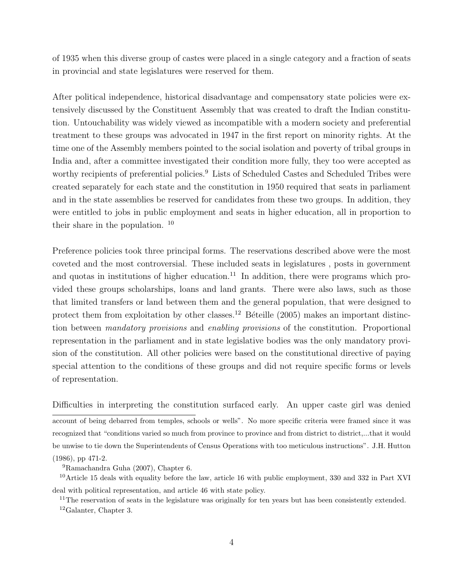of 1935 when this diverse group of castes were placed in a single category and a fraction of seats in provincial and state legislatures were reserved for them.

After political independence, historical disadvantage and compensatory state policies were extensively discussed by the Constituent Assembly that was created to draft the Indian constitution. Untouchability was widely viewed as incompatible with a modern society and preferential treatment to these groups was advocated in 1947 in the first report on minority rights. At the time one of the Assembly members pointed to the social isolation and poverty of tribal groups in India and, after a committee investigated their condition more fully, they too were accepted as worthy recipients of preferential policies.<sup>9</sup> Lists of Scheduled Castes and Scheduled Tribes were created separately for each state and the constitution in 1950 required that seats in parliament and in the state assemblies be reserved for candidates from these two groups. In addition, they were entitled to jobs in public employment and seats in higher education, all in proportion to their share in the population. <sup>10</sup>

Preference policies took three principal forms. The reservations described above were the most coveted and the most controversial. These included seats in legislatures , posts in government and quotas in institutions of higher education.<sup>11</sup> In addition, there were programs which provided these groups scholarships, loans and land grants. There were also laws, such as those that limited transfers or land between them and the general population, that were designed to protect them from exploitation by other classes.<sup>12</sup> Béteille (2005) makes an important distinction between mandatory provisions and enabling provisions of the constitution. Proportional representation in the parliament and in state legislative bodies was the only mandatory provision of the constitution. All other policies were based on the constitutional directive of paying special attention to the conditions of these groups and did not require specific forms or levels of representation.

Difficulties in interpreting the constitution surfaced early. An upper caste girl was denied account of being debarred from temples, schools or wells". No more specific criteria were framed since it was recognized that "conditions varied so much from province to province and from district to district,...that it would be unwise to tie down the Superintendents of Census Operations with too meticulous instructions". J.H. Hutton (1986), pp 471-2.

<sup>9</sup>Ramachandra Guha (2007), Chapter 6.

<sup>10</sup>Article 15 deals with equality before the law, article 16 with public employment, 330 and 332 in Part XVI deal with political representation, and article 46 with state policy.

<sup>11</sup>The reservation of seats in the legislature was originally for ten years but has been consistently extended.

<sup>12</sup>Galanter, Chapter 3.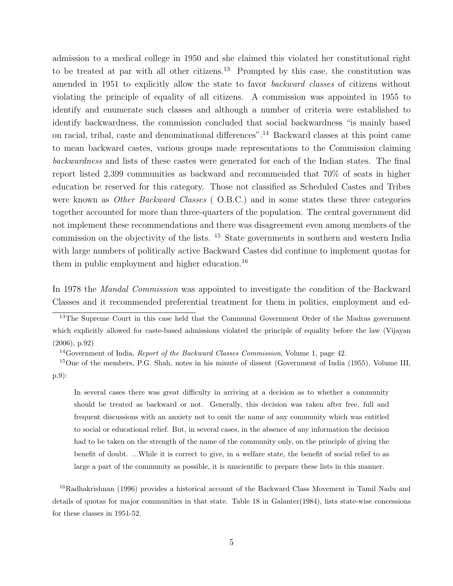admission to a medical college in 1950 and she claimed this violated her constitutional right to be treated at par with all other citizens.<sup>13</sup> Prompted by this case, the constitution was amended in 1951 to explicitly allow the state to favor backward classes of citizens without violating the principle of equality of all citizens. A commission was appointed in 1955 to identify and enumerate such classes and although a number of criteria were established to identify backwardness, the commission concluded that social backwardness "is mainly based on racial, tribal, caste and denominational differences".<sup>14</sup> Backward classes at this point came to mean backward castes, various groups made representations to the Commission claiming backwardness and lists of these castes were generated for each of the Indian states. The final report listed 2,399 communities as backward and recommended that 70% of seats in higher education be reserved for this category. Those not classified as Scheduled Castes and Tribes were known as *Other Backward Classes* (O.B.C.) and in some states these three categories together accounted for more than three-quarters of the population. The central government did not implement these recommendations and there was disagreement even among members of the commission on the objectivity of the lists. <sup>15</sup> State governments in southern and western India with large numbers of politically active Backward Castes did continue to implement quotas for them in public employment and higher education.<sup>16</sup>

In 1978 the *Mandal Commission* was appointed to investigate the condition of the Backward Classes and it recommended preferential treatment for them in politics, employment and ed-

<sup>13</sup>The Supreme Court in this case held that the Communal Government Order of the Madras government which explicitly allowed for caste-based admissions violated the principle of equality before the law (Vijayan (2006), p.92)

<sup>14</sup>Government of India, *Report of the Backward Classes Commission*, Volume 1, page 42.

<sup>15</sup>One of the members, P.G. Shah, notes in his minute of dissent (Government of India (1955), Volume III, p.9):

In several cases there was great difficulty in arriving at a decision as to whether a community should be treated as backward or not. Generally, this decision was taken after free, full and frequent discussions with an anxiety not to omit the name of any community which was entitled to social or educational relief. But, in several cases, in the absence of any information the decision had to be taken on the strength of the name of the community only, on the principle of giving the benefit of doubt. ...While it is correct to give, in a welfare state, the benefit of social relief to as large a part of the community as possible, it is unscientific to prepare these lists in this manner.

<sup>16</sup>Radhakrishnan (1996) provides a historical account of the Backward Class Movement in Tamil Nadu and details of quotas for major communities in that state. Table 18 in Galanter(1984), lists state-wise concessions for these classes in 1951-52.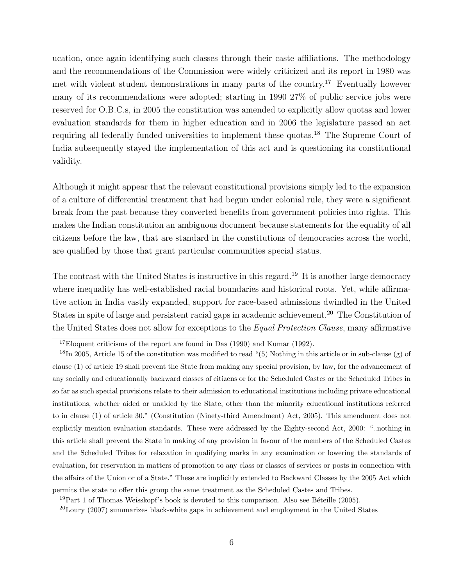ucation, once again identifying such classes through their caste affiliations. The methodology and the recommendations of the Commission were widely criticized and its report in 1980 was met with violent student demonstrations in many parts of the country.<sup>17</sup> Eventually however many of its recommendations were adopted; starting in 1990 27% of public service jobs were reserved for O.B.C.s, in 2005 the constitution was amended to explicitly allow quotas and lower evaluation standards for them in higher education and in 2006 the legislature passed an act requiring all federally funded universities to implement these quotas.<sup>18</sup> The Supreme Court of India subsequently stayed the implementation of this act and is questioning its constitutional validity.

Although it might appear that the relevant constitutional provisions simply led to the expansion of a culture of differential treatment that had begun under colonial rule, they were a significant break from the past because they converted benefits from government policies into rights. This makes the Indian constitution an ambiguous document because statements for the equality of all citizens before the law, that are standard in the constitutions of democracies across the world, are qualified by those that grant particular communities special status.

The contrast with the United States is instructive in this regard.<sup>19</sup> It is another large democracy where inequality has well-established racial boundaries and historical roots. Yet, while affirmative action in India vastly expanded, support for race-based admissions dwindled in the United States in spite of large and persistent racial gaps in academic achievement.<sup>20</sup> The Constitution of the United States does not allow for exceptions to the Equal Protection Clause, many affirmative

 $19$ Part 1 of Thomas Weisskopf's book is devoted to this comparison. Also see Béteille (2005).

 $^{20}$ Loury (2007) summarizes black-white gaps in achievement and employment in the United States

 $17$ Eloquent criticisms of the report are found in Das (1990) and Kumar (1992).

<sup>&</sup>lt;sup>18</sup>In 2005, Article 15 of the constitution was modified to read "(5) Nothing in this article or in sub-clause (g) of clause (1) of article 19 shall prevent the State from making any special provision, by law, for the advancement of any socially and educationally backward classes of citizens or for the Scheduled Castes or the Scheduled Tribes in so far as such special provisions relate to their admission to educational institutions including private educational institutions, whether aided or unaided by the State, other than the minority educational institutions referred to in clause (1) of article 30." (Constitution (Ninety-third Amendment) Act, 2005). This amendment does not explicitly mention evaluation standards. These were addressed by the Eighty-second Act, 2000: "..nothing in this article shall prevent the State in making of any provision in favour of the members of the Scheduled Castes and the Scheduled Tribes for relaxation in qualifying marks in any examination or lowering the standards of evaluation, for reservation in matters of promotion to any class or classes of services or posts in connection with the affairs of the Union or of a State." These are implicitly extended to Backward Classes by the 2005 Act which permits the state to offer this group the same treatment as the Scheduled Castes and Tribes.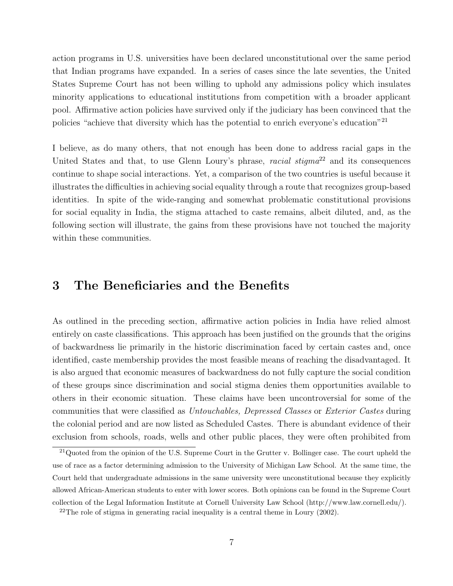action programs in U.S. universities have been declared unconstitutional over the same period that Indian programs have expanded. In a series of cases since the late seventies, the United States Supreme Court has not been willing to uphold any admissions policy which insulates minority applications to educational institutions from competition with a broader applicant pool. Affirmative action policies have survived only if the judiciary has been convinced that the policies "achieve that diversity which has the potential to enrich everyone's education"<sup>21</sup>

I believe, as do many others, that not enough has been done to address racial gaps in the United States and that, to use Glenn Loury's phrase, racial stigma<sup>22</sup> and its consequences continue to shape social interactions. Yet, a comparison of the two countries is useful because it illustrates the difficulties in achieving social equality through a route that recognizes group-based identities. In spite of the wide-ranging and somewhat problematic constitutional provisions for social equality in India, the stigma attached to caste remains, albeit diluted, and, as the following section will illustrate, the gains from these provisions have not touched the majority within these communities.

# 3 The Beneficiaries and the Benefits

As outlined in the preceding section, affirmative action policies in India have relied almost entirely on caste classifications. This approach has been justified on the grounds that the origins of backwardness lie primarily in the historic discrimination faced by certain castes and, once identified, caste membership provides the most feasible means of reaching the disadvantaged. It is also argued that economic measures of backwardness do not fully capture the social condition of these groups since discrimination and social stigma denies them opportunities available to others in their economic situation. These claims have been uncontroversial for some of the communities that were classified as Untouchables, Depressed Classes or Exterior Castes during the colonial period and are now listed as Scheduled Castes. There is abundant evidence of their exclusion from schools, roads, wells and other public places, they were often prohibited from

 $21$ Quoted from the opinion of the U.S. Supreme Court in the Grutter v. Bollinger case. The court upheld the use of race as a factor determining admission to the University of Michigan Law School. At the same time, the Court held that undergraduate admissions in the same university were unconstitutional because they explicitly allowed African-American students to enter with lower scores. Both opinions can be found in the Supreme Court collection of the Legal Information Institute at Cornell University Law School (http://www.law.cornell.edu/).

 $22$ The role of stigma in generating racial inequality is a central theme in Loury (2002).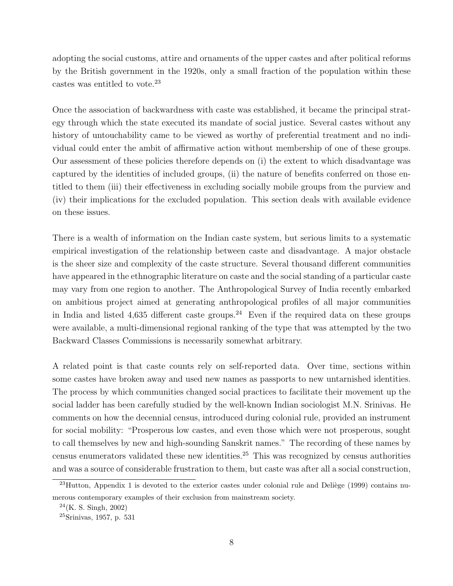adopting the social customs, attire and ornaments of the upper castes and after political reforms by the British government in the 1920s, only a small fraction of the population within these castes was entitled to vote.<sup>23</sup>

Once the association of backwardness with caste was established, it became the principal strategy through which the state executed its mandate of social justice. Several castes without any history of untouchability came to be viewed as worthy of preferential treatment and no individual could enter the ambit of affirmative action without membership of one of these groups. Our assessment of these policies therefore depends on (i) the extent to which disadvantage was captured by the identities of included groups, (ii) the nature of benefits conferred on those entitled to them (iii) their effectiveness in excluding socially mobile groups from the purview and (iv) their implications for the excluded population. This section deals with available evidence on these issues.

There is a wealth of information on the Indian caste system, but serious limits to a systematic empirical investigation of the relationship between caste and disadvantage. A major obstacle is the sheer size and complexity of the caste structure. Several thousand different communities have appeared in the ethnographic literature on caste and the social standing of a particular caste may vary from one region to another. The Anthropological Survey of India recently embarked on ambitious project aimed at generating anthropological profiles of all major communities in India and listed 4,635 different caste groups.<sup>24</sup> Even if the required data on these groups were available, a multi-dimensional regional ranking of the type that was attempted by the two Backward Classes Commissions is necessarily somewhat arbitrary.

A related point is that caste counts rely on self-reported data. Over time, sections within some castes have broken away and used new names as passports to new untarnished identities. The process by which communities changed social practices to facilitate their movement up the social ladder has been carefully studied by the well-known Indian sociologist M.N. Srinivas. He comments on how the decennial census, introduced during colonial rule, provided an instrument for social mobility: "Prosperous low castes, and even those which were not prosperous, sought to call themselves by new and high-sounding Sanskrit names." The recording of these names by census enumerators validated these new identities.<sup>25</sup> This was recognized by census authorities and was a source of considerable frustration to them, but caste was after all a social construction,

 $^{23}$ Hutton, Appendix 1 is devoted to the exterior castes under colonial rule and Deliège (1999) contains numerous contemporary examples of their exclusion from mainstream society.

 $^{24}$ (K. S. Singh, 2002)

 $25$ Srinivas, 1957, p. 531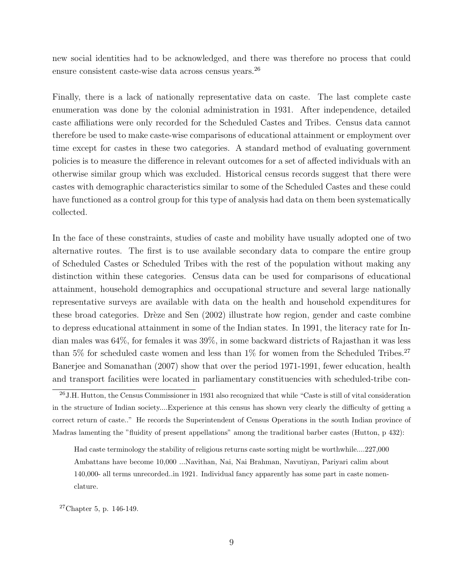new social identities had to be acknowledged, and there was therefore no process that could ensure consistent caste-wise data across census years.<sup>26</sup>

Finally, there is a lack of nationally representative data on caste. The last complete caste enumeration was done by the colonial administration in 1931. After independence, detailed caste affiliations were only recorded for the Scheduled Castes and Tribes. Census data cannot therefore be used to make caste-wise comparisons of educational attainment or employment over time except for castes in these two categories. A standard method of evaluating government policies is to measure the difference in relevant outcomes for a set of affected individuals with an otherwise similar group which was excluded. Historical census records suggest that there were castes with demographic characteristics similar to some of the Scheduled Castes and these could have functioned as a control group for this type of analysis had data on them been systematically collected.

In the face of these constraints, studies of caste and mobility have usually adopted one of two alternative routes. The first is to use available secondary data to compare the entire group of Scheduled Castes or Scheduled Tribes with the rest of the population without making any distinction within these categories. Census data can be used for comparisons of educational attainment, household demographics and occupational structure and several large nationally representative surveys are available with data on the health and household expenditures for these broad categories. Drèze and Sen (2002) illustrate how region, gender and caste combine to depress educational attainment in some of the Indian states. In 1991, the literacy rate for Indian males was 64%, for females it was 39%, in some backward districts of Rajasthan it was less than 5% for scheduled caste women and less than  $1\%$  for women from the Scheduled Tribes.<sup>27</sup> Banerjee and Somanathan (2007) show that over the period 1971-1991, fewer education, health and transport facilities were located in parliamentary constituencies with scheduled-tribe con-

 $27$ Chapter 5, p. 146-149.

 $^{26}$ J.H. Hutton, the Census Commissioner in 1931 also recognized that while "Caste is still of vital consideration in the structure of Indian society....Experience at this census has shown very clearly the difficulty of getting a correct return of caste.." He records the Superintendent of Census Operations in the south Indian province of Madras lamenting the "fluidity of present appellations" among the traditional barber castes (Hutton, p 432):

Had caste terminology the stability of religious returns caste sorting might be worthwhile....227,000 Ambattans have become 10,000 ...Navithan, Nai, Nai Brahman, Navutiyan, Pariyari calim about 140,000- all terms unrecorded..in 1921. Individual fancy apparently has some part in caste nomenclature.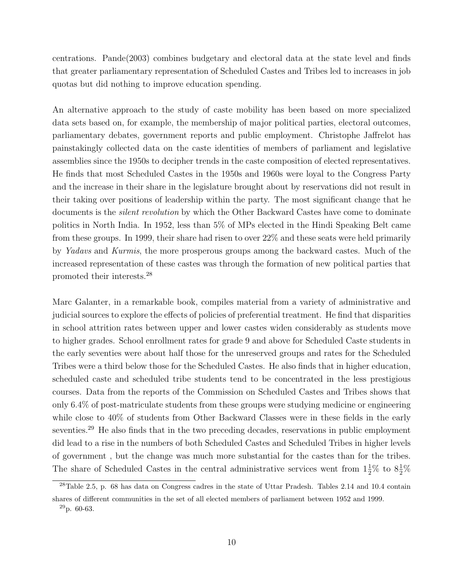centrations. Pande(2003) combines budgetary and electoral data at the state level and finds that greater parliamentary representation of Scheduled Castes and Tribes led to increases in job quotas but did nothing to improve education spending.

An alternative approach to the study of caste mobility has been based on more specialized data sets based on, for example, the membership of major political parties, electoral outcomes, parliamentary debates, government reports and public employment. Christophe Jaffrelot has painstakingly collected data on the caste identities of members of parliament and legislative assemblies since the 1950s to decipher trends in the caste composition of elected representatives. He finds that most Scheduled Castes in the 1950s and 1960s were loyal to the Congress Party and the increase in their share in the legislature brought about by reservations did not result in their taking over positions of leadership within the party. The most significant change that he documents is the *silent revolution* by which the Other Backward Castes have come to dominate politics in North India. In 1952, less than 5% of MPs elected in the Hindi Speaking Belt came from these groups. In 1999, their share had risen to over 22% and these seats were held primarily by *Yadavs* and *Kurmis*, the more prosperous groups among the backward castes. Much of the increased representation of these castes was through the formation of new political parties that promoted their interests.<sup>28</sup>

Marc Galanter, in a remarkable book, compiles material from a variety of administrative and judicial sources to explore the effects of policies of preferential treatment. He find that disparities in school attrition rates between upper and lower castes widen considerably as students move to higher grades. School enrollment rates for grade 9 and above for Scheduled Caste students in the early seventies were about half those for the unreserved groups and rates for the Scheduled Tribes were a third below those for the Scheduled Castes. He also finds that in higher education, scheduled caste and scheduled tribe students tend to be concentrated in the less prestigious courses. Data from the reports of the Commission on Scheduled Castes and Tribes shows that only 6.4% of post-matriculate students from these groups were studying medicine or engineering while close to 40% of students from Other Backward Classes were in these fields in the early seventies.<sup>29</sup> He also finds that in the two preceding decades, reservations in public employment did lead to a rise in the numbers of both Scheduled Castes and Scheduled Tribes in higher levels of government , but the change was much more substantial for the castes than for the tribes. The share of Scheduled Castes in the central administrative services went from  $1\frac{1}{2}\%$  to  $8\frac{1}{2}\%$ 

 $28$ Table 2.5, p. 68 has data on Congress cadres in the state of Uttar Pradesh. Tables 2.14 and 10.4 contain shares of different communities in the set of all elected members of parliament between 1952 and 1999.  $^{29}$ p. 60-63.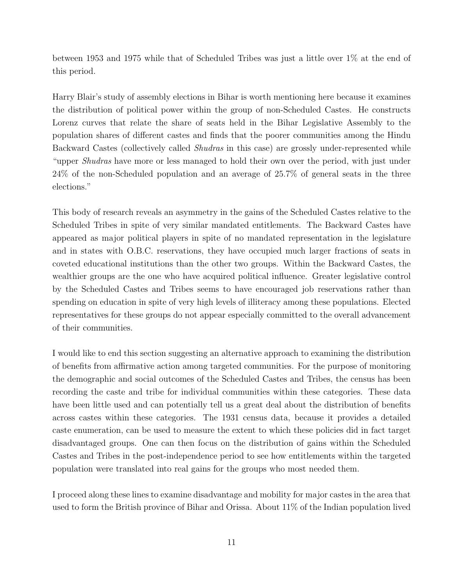between 1953 and 1975 while that of Scheduled Tribes was just a little over 1% at the end of this period.

Harry Blair's study of assembly elections in Bihar is worth mentioning here because it examines the distribution of political power within the group of non-Scheduled Castes. He constructs Lorenz curves that relate the share of seats held in the Bihar Legislative Assembly to the population shares of different castes and finds that the poorer communities among the Hindu Backward Castes (collectively called *Shudras* in this case) are grossly under-represented while "upper Shudras have more or less managed to hold their own over the period, with just under 24% of the non-Scheduled population and an average of 25.7% of general seats in the three elections."

This body of research reveals an asymmetry in the gains of the Scheduled Castes relative to the Scheduled Tribes in spite of very similar mandated entitlements. The Backward Castes have appeared as major political players in spite of no mandated representation in the legislature and in states with O.B.C. reservations, they have occupied much larger fractions of seats in coveted educational institutions than the other two groups. Within the Backward Castes, the wealthier groups are the one who have acquired political influence. Greater legislative control by the Scheduled Castes and Tribes seems to have encouraged job reservations rather than spending on education in spite of very high levels of illiteracy among these populations. Elected representatives for these groups do not appear especially committed to the overall advancement of their communities.

I would like to end this section suggesting an alternative approach to examining the distribution of benefits from affirmative action among targeted communities. For the purpose of monitoring the demographic and social outcomes of the Scheduled Castes and Tribes, the census has been recording the caste and tribe for individual communities within these categories. These data have been little used and can potentially tell us a great deal about the distribution of benefits across castes within these categories. The 1931 census data, because it provides a detailed caste enumeration, can be used to measure the extent to which these policies did in fact target disadvantaged groups. One can then focus on the distribution of gains within the Scheduled Castes and Tribes in the post-independence period to see how entitlements within the targeted population were translated into real gains for the groups who most needed them.

I proceed along these lines to examine disadvantage and mobility for major castes in the area that used to form the British province of Bihar and Orissa. About 11% of the Indian population lived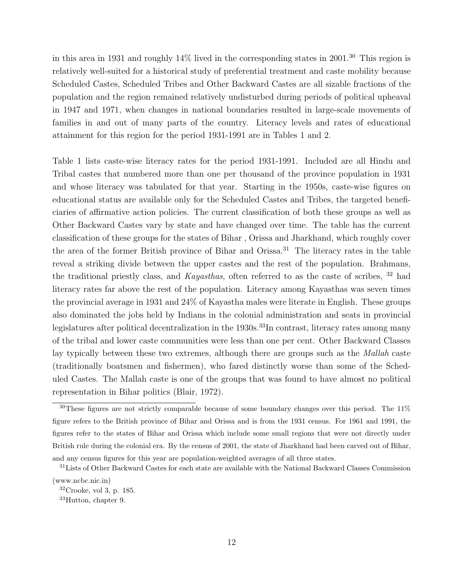in this area in 1931 and roughly  $14\%$  lived in the corresponding states in 2001.<sup>30</sup> This region is relatively well-suited for a historical study of preferential treatment and caste mobility because Scheduled Castes, Scheduled Tribes and Other Backward Castes are all sizable fractions of the population and the region remained relatively undisturbed during periods of political upheaval in 1947 and 1971, when changes in national boundaries resulted in large-scale movements of families in and out of many parts of the country. Literacy levels and rates of educational attainment for this region for the period 1931-1991 are in Tables 1 and 2.

Table 1 lists caste-wise literacy rates for the period 1931-1991. Included are all Hindu and Tribal castes that numbered more than one per thousand of the province population in 1931 and whose literacy was tabulated for that year. Starting in the 1950s, caste-wise figures on educational status are available only for the Scheduled Castes and Tribes, the targeted beneficiaries of affirmative action policies. The current classification of both these groups as well as Other Backward Castes vary by state and have changed over time. The table has the current classification of these groups for the states of Bihar , Orissa and Jharkhand, which roughly cover the area of the former British province of Bihar and Orissa.<sup>31</sup> The literacy rates in the table reveal a striking divide between the upper castes and the rest of the population. Brahmans, the traditional priestly class, and Kayasthas, often referred to as the caste of scribes, <sup>32</sup> had literacy rates far above the rest of the population. Literacy among Kayasthas was seven times the provincial average in 1931 and 24% of Kayastha males were literate in English. These groups also dominated the jobs held by Indians in the colonial administration and seats in provincial legislatures after political decentralization in the 1930s.<sup>33</sup>In contrast, literacy rates among many of the tribal and lower caste communities were less than one per cent. Other Backward Classes lay typically between these two extremes, although there are groups such as the *Mallah* caste (traditionally boatsmen and fishermen), who fared distinctly worse than some of the Scheduled Castes. The Mallah caste is one of the groups that was found to have almost no political representation in Bihar politics (Blair, 1972).

 $30$ These figures are not strictly comparable because of some boundary changes over this period. The 11% figure refers to the British province of Bihar and Orissa and is from the 1931 census. For 1961 and 1991, the figures refer to the states of Bihar and Orissa which include some small regions that were not directly under British rule during the colonial era. By the census of 2001, the state of Jharkhand had been carved out of Bihar, and any census figures for this year are population-weighted averages of all three states.

<sup>&</sup>lt;sup>31</sup>Lists of Other Backward Castes for each state are available with the National Backward Classes Commission (www.ncbc.nic.in)

 $32C$ rooke, vol 3, p. 185.

<sup>33</sup>Hutton, chapter 9.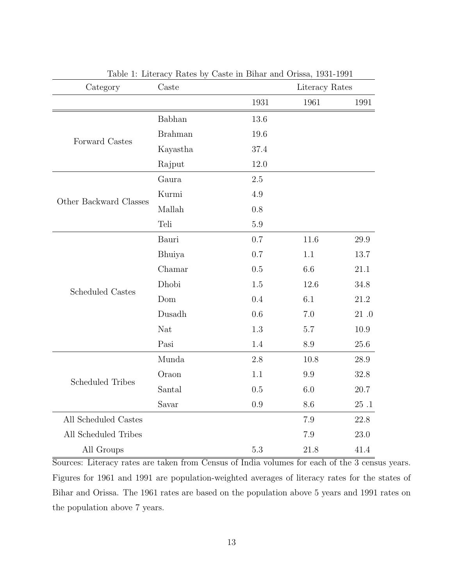| Category                | Caste          |         | Literacy Rates |           |
|-------------------------|----------------|---------|----------------|-----------|
|                         |                | 1931    | 1961           | 1991      |
| Forward Castes          | Babhan         | 13.6    |                |           |
|                         | <b>Brahman</b> | 19.6    |                |           |
|                         | Kayastha       | 37.4    |                |           |
|                         | Rajput         | 12.0    |                |           |
| Other Backward Classes  | Gaura          | 2.5     |                |           |
|                         | Kurmi          | 4.9     |                |           |
|                         | Mallah         | 0.8     |                |           |
|                         | Teli           | 5.9     |                |           |
| <b>Scheduled Castes</b> | Bauri          | 0.7     | 11.6           | 29.9      |
|                         | Bhuiya         | 0.7     | 1.1            | 13.7      |
|                         | Chamar         | 0.5     | 6.6            | 21.1      |
|                         | Dhobi          | 1.5     | 12.6           | 34.8      |
|                         | Dom            | 0.4     | 6.1            | 21.2      |
|                         | Dusadh         | 0.6     | 7.0            | $21 \ .0$ |
|                         | Nat            | 1.3     | 5.7            | 10.9      |
|                         | Pasi           | 1.4     | 8.9            | 25.6      |
| <b>Scheduled Tribes</b> | Munda          | 2.8     | 10.8           | 28.9      |
|                         | Oraon          | 1.1     | 9.9            | 32.8      |
|                         | Santal         | 0.5     | 6.0            | 20.7      |
|                         | Savar          | $0.9\,$ | 8.6            | $25\,$ .1 |
| All Scheduled Castes    |                |         | 7.9            | 22.8      |
| All Scheduled Tribes    |                |         | 7.9            | 23.0      |
| All Groups              |                | 5.3     | 21.8           | 41.4      |

Table 1: Literacy Rates by Caste in Bihar and Orissa, 1931-1991

Sources: Literacy rates are taken from Census of India volumes for each of the 3 census years. Figures for 1961 and 1991 are population-weighted averages of literacy rates for the states of Bihar and Orissa. The 1961 rates are based on the population above 5 years and 1991 rates on the population above 7 years.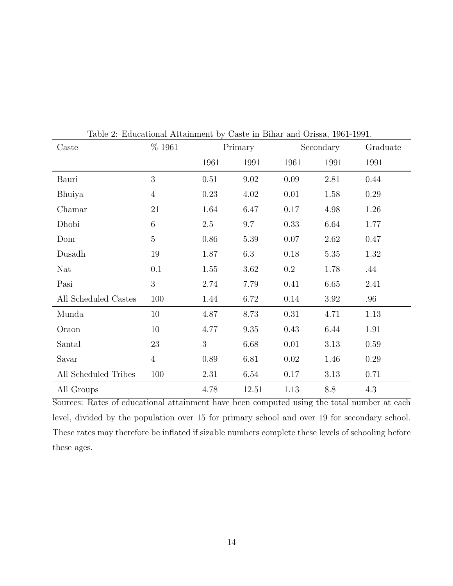| Caste                | % 1961         | Primary |       | Secondary |      | Graduate |
|----------------------|----------------|---------|-------|-----------|------|----------|
|                      |                | 1961    | 1991  | 1961      | 1991 | 1991     |
| Bauri                | 3              | 0.51    | 9.02  | 0.09      | 2.81 | 0.44     |
| Bhuiya               | $\overline{4}$ | 0.23    | 4.02  | 0.01      | 1.58 | 0.29     |
| Chamar               | 21             | 1.64    | 6.47  | 0.17      | 4.98 | 1.26     |
| Dhobi                | 6              | $2.5\,$ | 9.7   | 0.33      | 6.64 | 1.77     |
| Dom                  | $\mathbf 5$    | 0.86    | 5.39  | 0.07      | 2.62 | 0.47     |
| Dusadh               | 19             | 1.87    | 6.3   | 0.18      | 5.35 | 1.32     |
| Nat                  | 0.1            | 1.55    | 3.62  | $0.2\,$   | 1.78 | .44      |
| Pasi                 | 3              | 2.74    | 7.79  | 0.41      | 6.65 | 2.41     |
| All Scheduled Castes | 100            | 1.44    | 6.72  | 0.14      | 3.92 | .96      |
| Munda                | $10\,$         | 4.87    | 8.73  | 0.31      | 4.71 | 1.13     |
| Oraon                | 10             | 4.77    | 9.35  | 0.43      | 6.44 | 1.91     |
| Santal               | 23             | 3       | 6.68  | $0.01\,$  | 3.13 | 0.59     |
| Savar                | $\overline{4}$ | 0.89    | 6.81  | 0.02      | 1.46 | 0.29     |
| All Scheduled Tribes | 100            | 2.31    | 6.54  | 0.17      | 3.13 | 0.71     |
| All Groups           |                | 4.78    | 12.51 | 1.13      | 8.8  | 4.3      |

Table 2: Educational Attainment by Caste in Bihar and Orissa, 1961-1991.

Sources: Rates of educational attainment have been computed using the total number at each level, divided by the population over 15 for primary school and over 19 for secondary school. These rates may therefore be inflated if sizable numbers complete these levels of schooling before these ages.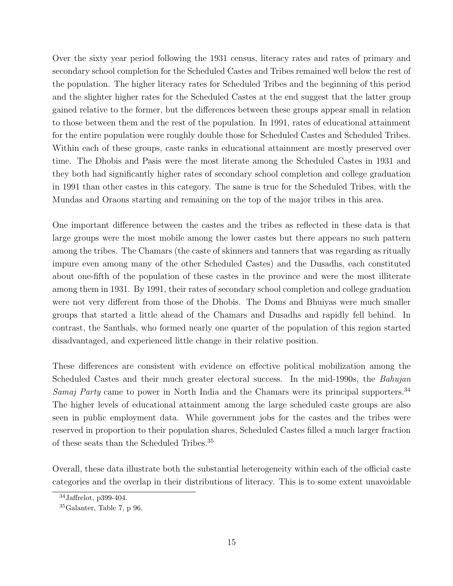Over the sixty year period following the 1931 census, literacy rates and rates of primary and secondary school completion for the Scheduled Castes and Tribes remained well below the rest of the population. The higher literacy rates for Scheduled Tribes and the beginning of this period and the slighter higher rates for the Scheduled Castes at the end suggest that the latter group gained relative to the former, but the differences between these groups appear small in relation to those between them and the rest of the population. In 1991, rates of educational attainment for the entire population were roughly double those for Scheduled Castes and Scheduled Tribes. Within each of these groups, caste ranks in educational attainment are mostly preserved over time. The Dhobis and Pasis were the most literate among the Scheduled Castes in 1931 and they both had significantly higher rates of secondary school completion and college graduation in 1991 than other castes in this category. The same is true for the Scheduled Tribes, with the Mundas and Oraons starting and remaining on the top of the major tribes in this area.

One important difference between the castes and the tribes as reflected in these data is that large groups were the most mobile among the lower castes but there appears no such pattern among the tribes. The Chamars (the caste of skinners and tanners that was regarding as ritually impure even among many of the other Scheduled Castes) and the Dusadhs, each constituted about one-fifth of the population of these castes in the province and were the most illiterate among them in 1931. By 1991, their rates of secondary school completion and college graduation were not very different from those of the Dhobis. The Doms and Bhuiyas were much smaller groups that started a little ahead of the Chamars and Dusadhs and rapidly fell behind. In contrast, the Santhals, who formed nearly one quarter of the population of this region started disadvantaged, and experienced little change in their relative position.

These differences are consistent with evidence on effective political mobilization among the Scheduled Castes and their much greater electoral success. In the mid-1990s, the *Bahujan* Samaj Party came to power in North India and the Chamars were its principal supporters.<sup>34</sup> The higher levels of educational attainment among the large scheduled caste groups are also seen in public employment data. While government jobs for the castes and the tribes were reserved in proportion to their population shares, Scheduled Castes filled a much larger fraction of these seats than the Scheduled Tribes.<sup>35</sup>

Overall, these data illustrate both the substantial heterogeneity within each of the official caste categories and the overlap in their distributions of literacy. This is to some extent unavoidable

<sup>34</sup>Jaffrelot, p399-404.

<sup>35</sup>Galanter, Table 7, p 96.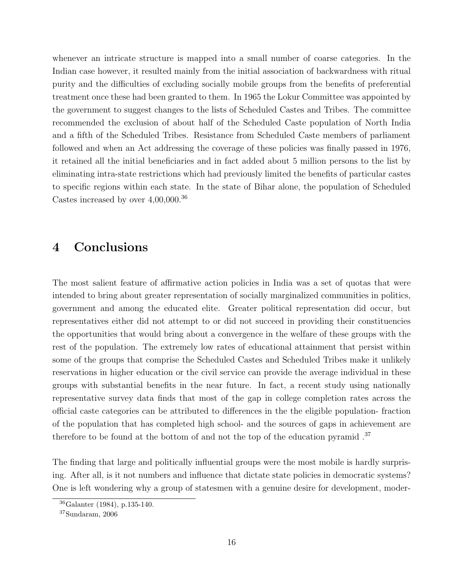whenever an intricate structure is mapped into a small number of coarse categories. In the Indian case however, it resulted mainly from the initial association of backwardness with ritual purity and the difficulties of excluding socially mobile groups from the benefits of preferential treatment once these had been granted to them. In 1965 the Lokur Committee was appointed by the government to suggest changes to the lists of Scheduled Castes and Tribes. The committee recommended the exclusion of about half of the Scheduled Caste population of North India and a fifth of the Scheduled Tribes. Resistance from Scheduled Caste members of parliament followed and when an Act addressing the coverage of these policies was finally passed in 1976, it retained all the initial beneficiaries and in fact added about 5 million persons to the list by eliminating intra-state restrictions which had previously limited the benefits of particular castes to specific regions within each state. In the state of Bihar alone, the population of Scheduled Castes increased by over 4,00,000.<sup>36</sup>

# 4 Conclusions

The most salient feature of affirmative action policies in India was a set of quotas that were intended to bring about greater representation of socially marginalized communities in politics, government and among the educated elite. Greater political representation did occur, but representatives either did not attempt to or did not succeed in providing their constituencies the opportunities that would bring about a convergence in the welfare of these groups with the rest of the population. The extremely low rates of educational attainment that persist within some of the groups that comprise the Scheduled Castes and Scheduled Tribes make it unlikely reservations in higher education or the civil service can provide the average individual in these groups with substantial benefits in the near future. In fact, a recent study using nationally representative survey data finds that most of the gap in college completion rates across the official caste categories can be attributed to differences in the the eligible population- fraction of the population that has completed high school- and the sources of gaps in achievement are therefore to be found at the bottom of and not the top of the education pyramid .<sup>37</sup>

The finding that large and politically influential groups were the most mobile is hardly surprising. After all, is it not numbers and influence that dictate state policies in democratic systems? One is left wondering why a group of statesmen with a genuine desire for development, moder-

<sup>36</sup>Galanter (1984), p.135-140.

<sup>37</sup>Sundaram, 2006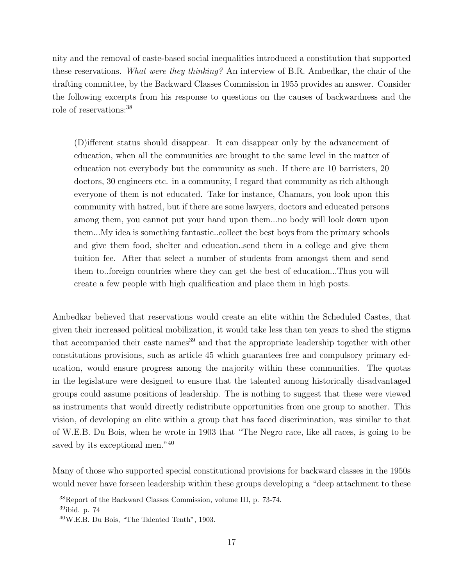nity and the removal of caste-based social inequalities introduced a constitution that supported these reservations. What were they thinking? An interview of B.R. Ambedkar, the chair of the drafting committee, by the Backward Classes Commission in 1955 provides an answer. Consider the following excerpts from his response to questions on the causes of backwardness and the role of reservations:<sup>38</sup>

(D)ifferent status should disappear. It can disappear only by the advancement of education, when all the communities are brought to the same level in the matter of education not everybody but the community as such. If there are 10 barristers, 20 doctors, 30 engineers etc. in a community, I regard that community as rich although everyone of them is not educated. Take for instance, Chamars, you look upon this community with hatred, but if there are some lawyers, doctors and educated persons among them, you cannot put your hand upon them...no body will look down upon them...My idea is something fantastic..collect the best boys from the primary schools and give them food, shelter and education..send them in a college and give them tuition fee. After that select a number of students from amongst them and send them to..foreign countries where they can get the best of education...Thus you will create a few people with high qualification and place them in high posts.

Ambedkar believed that reservations would create an elite within the Scheduled Castes, that given their increased political mobilization, it would take less than ten years to shed the stigma that accompanied their caste names<sup>39</sup> and that the appropriate leadership together with other constitutions provisions, such as article 45 which guarantees free and compulsory primary education, would ensure progress among the majority within these communities. The quotas in the legislature were designed to ensure that the talented among historically disadvantaged groups could assume positions of leadership. The is nothing to suggest that these were viewed as instruments that would directly redistribute opportunities from one group to another. This vision, of developing an elite within a group that has faced discrimination, was similar to that of W.E.B. Du Bois, when he wrote in 1903 that "The Negro race, like all races, is going to be saved by its exceptional men."<sup>40</sup>

Many of those who supported special constitutional provisions for backward classes in the 1950s would never have forseen leadership within these groups developing a "deep attachment to these

<sup>38</sup>Report of the Backward Classes Commission, volume III, p. 73-74.

<sup>39</sup>ibid. p. 74

<sup>40</sup>W.E.B. Du Bois, "The Talented Tenth", 1903.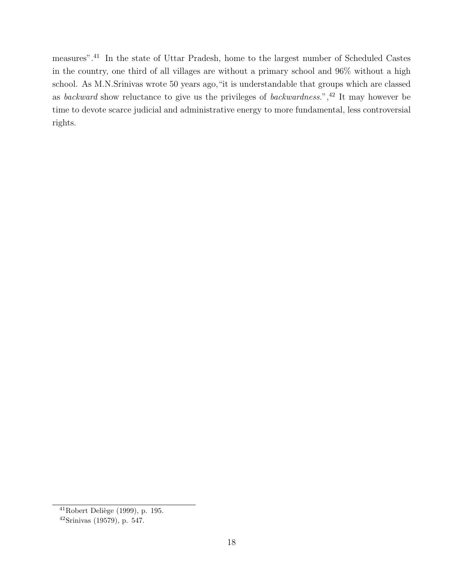measures".<sup>41</sup> In the state of Uttar Pradesh, home to the largest number of Scheduled Castes in the country, one third of all villages are without a primary school and 96% without a high school. As M.N.Srinivas wrote 50 years ago,"it is understandable that groups which are classed as backward show reluctance to give us the privileges of backwardness.",<sup>42</sup> It may however be time to devote scarce judicial and administrative energy to more fundamental, less controversial rights.

<sup>&</sup>lt;sup>41</sup>Robert Deliège (1999), p. 195.

<sup>42</sup>Srinivas (19579), p. 547.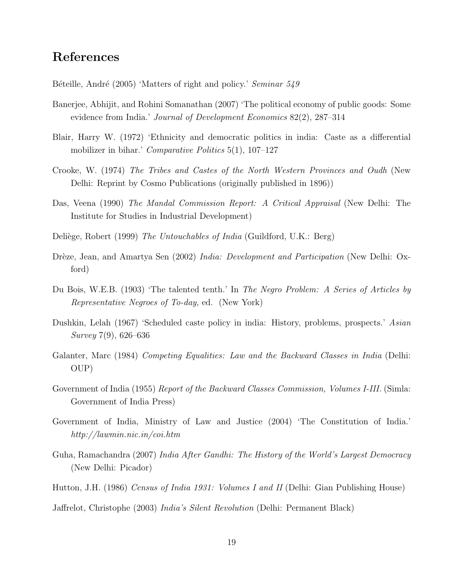#### References

Béteille, André (2005) 'Matters of right and policy.' Seminar 549

- Banerjee, Abhijit, and Rohini Somanathan (2007) 'The political economy of public goods: Some evidence from India.' Journal of Development Economics 82(2), 287–314
- Blair, Harry W. (1972) 'Ethnicity and democratic politics in india: Caste as a differential mobilizer in bihar.' Comparative Politics 5(1), 107–127
- Crooke, W. (1974) The Tribes and Castes of the North Western Provinces and Oudh (New Delhi: Reprint by Cosmo Publications (originally published in 1896))
- Das, Veena (1990) The Mandal Commission Report: A Critical Appraisal (New Delhi: The Institute for Studies in Industrial Development)
- Deliège, Robert (1999) *The Untouchables of India* (Guildford, U.K.: Berg)
- Drèze, Jean, and Amartya Sen (2002) India: Development and Participation (New Delhi: Oxford)
- Du Bois, W.E.B. (1903) 'The talented tenth.' In The Negro Problem: A Series of Articles by Representative Negroes of To-day, ed. (New York)
- Dushkin, Lelah (1967) 'Scheduled caste policy in india: History, problems, prospects.' Asian Survey 7(9), 626–636
- Galanter, Marc (1984) Competing Equalities: Law and the Backward Classes in India (Delhi: OUP)
- Government of India (1955) Report of the Backward Classes Commission, Volumes I-III. (Simla: Government of India Press)
- Government of India, Ministry of Law and Justice (2004) 'The Constitution of India.' http://lawmin.nic.in/coi.htm
- Guha, Ramachandra (2007) India After Gandhi: The History of the World's Largest Democracy (New Delhi: Picador)
- Hutton, J.H. (1986) Census of India 1931: Volumes I and II (Delhi: Gian Publishing House)
- Jaffrelot, Christophe (2003) India's Silent Revolution (Delhi: Permanent Black)